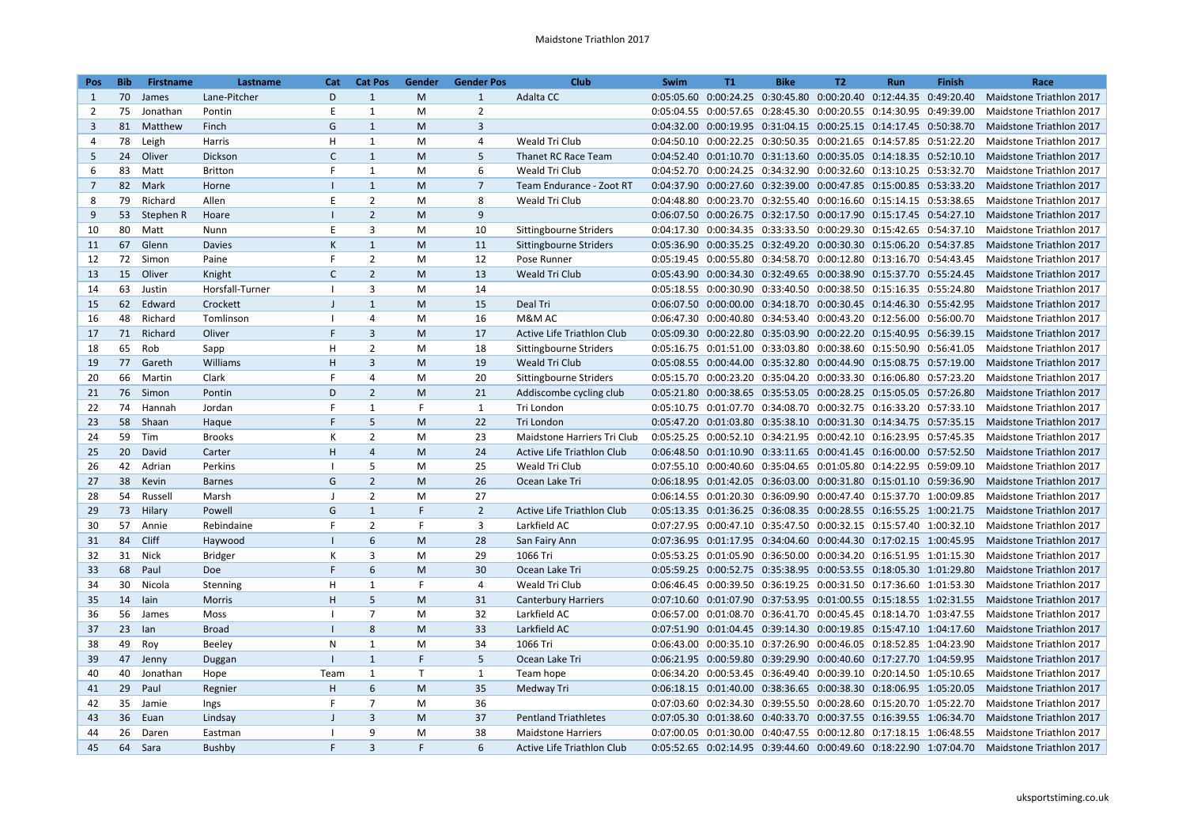| Pos             | <b>Bib</b> | <b>Firstname</b> | Lastname        | Cat                      | <b>Cat Pos</b> | Gender       | <b>Gender Pos</b> | <b>Club</b>                 | Swim | T1                                                                     | <b>Bike</b> | T2 | Run | <b>Finish</b> | Race                                                                                       |
|-----------------|------------|------------------|-----------------|--------------------------|----------------|--------------|-------------------|-----------------------------|------|------------------------------------------------------------------------|-------------|----|-----|---------------|--------------------------------------------------------------------------------------------|
| 1               | 70         | James            | Lane-Pitcher    | D                        | $\mathbf{1}$   | M            | $\mathbf{1}$      | Adalta CC                   |      | 0:05:05.60  0:00:24.25  0:30:45.80  0:00:20.40  0:12:44.35  0:49:20.40 |             |    |     |               | Maidstone Triathlon 2017                                                                   |
| 2               | 75         | Jonathan         | Pontin          | E                        | $\mathbf{1}$   | M            | $\overline{2}$    |                             |      | 0:05:04.55 0:00:57.65 0:28:45.30 0:00:20.55 0:14:30.95 0:49:39.00      |             |    |     |               | Maidstone Triathlon 2017                                                                   |
| $\overline{3}$  | 81         | Matthew          | Finch           | G                        | $\mathbf{1}$   | M            | $\overline{3}$    |                             |      | 0:04:32.00  0:00:19.95  0:31:04.15  0:00:25.15  0:14:17.45  0:50:38.70 |             |    |     |               | <b>Maidstone Triathlon 2017</b>                                                            |
| 4               | 78         | Leigh            | Harris          | H                        | $\mathbf{1}$   | M            | 4                 | Weald Tri Club              |      | 0:04:50.10  0:00:22.25  0:30:50.35  0:00:21.65  0:14:57.85  0:51:22.20 |             |    |     |               | Maidstone Triathlon 2017                                                                   |
| 5               | 24         | Oliver           | <b>Dickson</b>  | $\mathsf{C}$             | $\mathbf{1}$   | M            | 5                 | Thanet RC Race Team         |      | 0:04:52.40  0:01:10.70  0:31:13.60  0:00:35.05  0:14:18.35  0:52:10.10 |             |    |     |               | <b>Maidstone Triathlon 2017</b>                                                            |
| 6               | 83         | Matt             | <b>Britton</b>  | F                        | $\mathbf{1}$   | M            | 6                 | Weald Tri Club              |      | 0:04:52.70  0:00:24.25  0:34:32.90  0:00:32.60  0:13:10.25  0:53:32.70 |             |    |     |               | Maidstone Triathlon 2017                                                                   |
| $7\overline{ }$ | 82         | Mark             | Horne           | $\mathbf{I}$             | $\mathbf{1}$   | M            | $7\overline{ }$   | Team Endurance - Zoot RT    |      | 0:04:37.90  0:00:27.60  0:32:39.00  0:00:47.85  0:15:00.85  0:53:33.20 |             |    |     |               | Maidstone Triathlon 2017                                                                   |
| 8               | 79         | Richard          | Allen           | E                        | $\overline{2}$ | M            | 8                 | Weald Tri Club              |      | 0:04:48.80  0:00:23.70  0:32:55.40  0:00:16.60  0:15:14.15  0:53:38.65 |             |    |     |               | Maidstone Triathlon 2017                                                                   |
| 9               |            | 53 Stephen R     | Hoare           | $\blacksquare$           | $\overline{2}$ | M            | 9                 |                             |      | 0:06:07.50 0:00:26.75 0:32:17.50 0:00:17.90 0:15:17.45 0:54:27.10      |             |    |     |               | <b>Maidstone Triathlon 2017</b>                                                            |
| 10              | 80         | Matt             | Nunn            | E                        | 3              | M            | 10                | Sittingbourne Striders      |      | 0:04:17.30  0:00:34.35  0:33:33.50  0:00:29.30  0:15:42.65  0:54:37.10 |             |    |     |               | Maidstone Triathlon 2017                                                                   |
| 11              | 67         | Glenn            | <b>Davies</b>   | K                        | $\mathbf{1}$   | M            | 11                | Sittingbourne Striders      |      | 0:05:36.90  0:00:35.25  0:32:49.20  0:00:30.30  0:15:06.20  0:54:37.85 |             |    |     |               | Maidstone Triathlon 2017                                                                   |
| 12              | 72         | Simon            | Paine           | F                        | $\overline{2}$ | M            | 12                | Pose Runner                 |      | 0:05:19.45  0:00:55.80  0:34:58.70  0:00:12.80  0:13:16.70  0:54:43.45 |             |    |     |               | Maidstone Triathlon 2017                                                                   |
| 13              | 15         | Oliver           | Knight          | $\mathsf{C}$             | $\overline{2}$ | M            | 13                | <b>Weald Tri Club</b>       |      | 0:05:43.90  0:00:34.30  0:32:49.65  0:00:38.90  0:15:37.70  0:55:24.45 |             |    |     |               | Maidstone Triathlon 2017                                                                   |
| 14              | 63         | Justin           | Horsfall-Turner | $\blacksquare$           | 3              | M            | 14                |                             |      | 0:05:18.55  0:00:30.90  0:33:40.50  0:00:38.50  0:15:16.35  0:55:24.80 |             |    |     |               | Maidstone Triathlon 2017                                                                   |
| 15              | 62         | Edward           | Crockett        | $\mathbf{I}$             | $\mathbf{1}$   | M            | 15                | Deal Tri                    |      | 0:06:07.50  0:00:00.00  0:34:18.70  0:00:30.45  0:14:46.30  0:55:42.95 |             |    |     |               | Maidstone Triathlon 2017                                                                   |
| 16              | 48         | Richard          | Tomlinson       | - 1                      | 4              | M            | 16                | M&M AC                      |      | 0:06:47.30  0:00:40.80  0:34:53.40  0:00:43.20  0:12:56.00  0:56:00.70 |             |    |     |               | Maidstone Triathlon 2017                                                                   |
| 17              | 71         | Richard          | Oliver          | F                        | $\overline{3}$ | M            | 17                | Active Life Triathlon Club  |      | 0:05:09.30  0:00:22.80  0:35:03.90  0:00:22.20  0:15:40.95  0:56:39.15 |             |    |     |               | Maidstone Triathlon 2017                                                                   |
| 18              | 65         | Rob              | Sapp            | H                        | $\overline{2}$ | M            | 18                | Sittingbourne Striders      |      | 0:05:16.75  0:01:51.00  0:33:03.80  0:00:38.60  0:15:50.90  0:56:41.05 |             |    |     |               | Maidstone Triathlon 2017                                                                   |
| 19              | 77         | Gareth           | Williams        | H                        | $\overline{3}$ | M            | 19                | Weald Tri Club              |      | 0:05:08.55  0:00:44.00  0:35:32.80  0:00:44.90  0:15:08.75  0:57:19.00 |             |    |     |               | Maidstone Triathlon 2017                                                                   |
| 20              | 66         | Martin           | Clark           | F                        | $\overline{4}$ | M            | 20                | Sittingbourne Striders      |      | 0:05:15.70  0:00:23.20  0:35:04.20  0:00:33.30  0:16:06.80  0:57:23.20 |             |    |     |               | Maidstone Triathlon 2017                                                                   |
| 21              | 76         | Simon            | Pontin          | D                        | $\overline{2}$ | M            | 21                | Addiscombe cycling club     |      | 0:05:21.80  0:00:38.65  0:35:53.05  0:00:28.25  0:15:05.05  0:57:26.80 |             |    |     |               | Maidstone Triathlon 2017                                                                   |
| 22              | 74         | Hannah           | Jordan          | F                        | $\mathbf{1}$   | F.           | $\mathbf{1}$      | Tri London                  |      | 0:05:10.75  0:01:07.70  0:34:08.70  0:00:32.75  0:16:33.20  0:57:33.10 |             |    |     |               | Maidstone Triathlon 2017                                                                   |
| 23              | 58         | Shaan            | Haque           | F                        | 5              | M            | 22                | Tri London                  |      | 0:05:47.20  0:01:03.80  0:35:38.10  0:00:31.30  0:14:34.75  0:57:35.15 |             |    |     |               | Maidstone Triathlon 2017                                                                   |
| 24              | 59         | Tim              | <b>Brooks</b>   | К                        | $\overline{2}$ | M            | 23                | Maidstone Harriers Tri Club |      | 0:05:25.25 0:00:52.10 0:34:21.95 0:00:42.10 0:16:23.95 0:57:45.35      |             |    |     |               | Maidstone Triathlon 2017                                                                   |
| 25              | 20         | David            | Carter          | H                        | $\overline{4}$ | M            | 24                | Active Life Triathlon Club  |      | 0:06:48.50  0:01:10.90  0:33:11.65  0:00:41.45  0:16:00.00  0:57:52.50 |             |    |     |               | <b>Maidstone Triathlon 2017</b>                                                            |
| 26              | 42         | Adrian           | Perkins         | $\blacksquare$           | 5              | M            | 25                | Weald Tri Club              |      | 0:07:55.10  0:00:40.60  0:35:04.65  0:01:05.80  0:14:22.95  0:59:09.10 |             |    |     |               | Maidstone Triathlon 2017                                                                   |
| 27              | 38         | Kevin            | <b>Barnes</b>   | G                        | $\overline{2}$ | M            | 26                | Ocean Lake Tri              |      | 0:06:18.95  0:01:42.05  0:36:03.00  0:00:31.80  0:15:01.10  0:59:36.90 |             |    |     |               | Maidstone Triathlon 2017                                                                   |
| 28              | 54         | Russell          | Marsh           | $\perp$                  | $\overline{2}$ | M            | 27                |                             |      | 0:06:14.55  0:01:20.30  0:36:09.90  0:00:47.40  0:15:37.70  1:00:09.85 |             |    |     |               | Maidstone Triathlon 2017                                                                   |
| 29              | 73         | Hilary           | Powell          | G                        | $\mathbf{1}$   | F            | $\overline{2}$    | Active Life Triathlon Club  |      | 0:05:13.35  0:01:36.25  0:36:08.35  0:00:28.55  0:16:55.25  1:00:21.75 |             |    |     |               | Maidstone Triathlon 2017                                                                   |
| 30              | 57         | Annie            | Rebindaine      | F                        | $\overline{2}$ | F.           | 3                 | Larkfield AC                |      | 0:07:27.95  0:00:47.10  0:35:47.50  0:00:32.15  0:15:57.40  1:00:32.10 |             |    |     |               | Maidstone Triathlon 2017                                                                   |
| 31              | 84         | Cliff            | Haywood         | $\mathbf{I}$             | 6              | M            | 28                | San Fairy Ann               |      | 0:07:36.95  0:01:17.95  0:34:04.60  0:00:44.30  0:17:02.15  1:00:45.95 |             |    |     |               | Maidstone Triathlon 2017                                                                   |
| 32              | 31         | Nick             | <b>Bridger</b>  | K                        | 3              | M            | 29                | 1066 Tri                    |      | 0:05:53.25  0:01:05.90  0:36:50.00  0:00:34.20  0:16:51.95  1:01:15.30 |             |    |     |               | Maidstone Triathlon 2017                                                                   |
| 33              | 68         | Paul             | Doe             | F                        | 6              | M            | 30                | Ocean Lake Tri              |      | 0:05:59.25  0:00:52.75  0:35:38.95  0:00:53.55  0:18:05.30  1:01:29.80 |             |    |     |               | <b>Maidstone Triathlon 2017</b>                                                            |
| 34              | 30         | Nicola           | Stenning        | H                        | $\mathbf{1}$   | F.           | 4                 | Weald Tri Club              |      | 0:06:46.45  0:00:39.50  0:36:19.25  0:00:31.50  0:17:36.60  1:01:53.30 |             |    |     |               | Maidstone Triathlon 2017                                                                   |
| 35              | 14         | lain             | Morris          | H                        | 5              | M            | 31                | <b>Canterbury Harriers</b>  |      | 0:07:10.60  0:01:07.90  0:37:53.95  0:01:00.55  0:15:18.55  1:02:31.55 |             |    |     |               | Maidstone Triathlon 2017                                                                   |
| 36              | 56         | James            | Moss            | $\overline{\phantom{a}}$ | $\overline{7}$ | M            | 32                | Larkfield AC                |      | 0:06:57.00  0:01:08.70  0:36:41.70  0:00:45.45  0:18:14.70  1:03:47.55 |             |    |     |               | Maidstone Triathlon 2017                                                                   |
| 37              | 23         | lan              | <b>Broad</b>    | $\perp$                  | 8              | M            | 33                | Larkfield AC                |      | 0:07:51.90  0:01:04.45  0:39:14.30  0:00:19.85  0:15:47.10  1:04:17.60 |             |    |     |               | <b>Maidstone Triathlon 2017</b>                                                            |
| 38              | 49         | Roy              | Beeley          | N                        | $\mathbf{1}$   | M            | 34                | 1066 Tri                    |      | 0:06:43.00  0:00:35.10  0:37:26.90  0:00:46.05  0:18:52.85  1:04:23.90 |             |    |     |               | Maidstone Triathlon 2017                                                                   |
| 39              | 47         | Jenny            | Duggan          |                          | $\mathbf{1}$   | F.           | 5                 | Ocean Lake Tri              |      | 0:06:21.95  0:00:59.80  0:39:29.90  0:00:40.60  0:17:27.70  1:04:59.95 |             |    |     |               | Maidstone Triathlon 2017                                                                   |
| 40              | 40         | Jonathan         | Hope            | Team                     | $\mathbf{1}$   | $\mathsf{T}$ | 1                 | Team hope                   |      | 0:06:34.20  0:00:53.45  0:36:49.40  0:00:39.10  0:20:14.50  1:05:10.65 |             |    |     |               | Maidstone Triathlon 2017                                                                   |
| 41              | 29         | Paul             | Regnier         | H                        | 6              | M            | 35                | Medway Tri                  |      | 0:06:18.15  0:01:40.00  0:38:36.65  0:00:38.30  0:18:06.95  1:05:20.05 |             |    |     |               | <b>Maidstone Triathlon 2017</b>                                                            |
| 42              | 35         | Jamie            | Ings            | F                        | $\overline{7}$ | M            | 36                |                             |      | 0:07:03.60  0:02:34.30  0:39:55.50  0:00:28.60  0:15:20.70  1:05:22.70 |             |    |     |               | Maidstone Triathlon 2017                                                                   |
| 43              | 36         | Euan             | Lindsay         | $\mathsf{I}$             | $\overline{3}$ | M            | 37                | <b>Pentland Triathletes</b> |      | 0:07:05.30  0:01:38.60  0:40:33.70  0:00:37.55  0:16:39.55  1:06:34.70 |             |    |     |               | Maidstone Triathlon 2017                                                                   |
| 44              | 26         | Daren            | Eastman         | - 1                      | 9              | M            | 38                | <b>Maidstone Harriers</b>   |      | 0:07:00.05  0:01:30.00  0:40:47.55  0:00:12.80  0:17:18.15  1:06:48.55 |             |    |     |               | Maidstone Triathlon 2017                                                                   |
| 45              | 64         | Sara             | Bushby          | F                        | $\overline{3}$ | F.           | 6                 | Active Life Triathlon Club  |      |                                                                        |             |    |     |               | 0:05:52.65 0:02:14.95 0:39:44.60 0:00:49.60 0:18:22.90 1:07:04.70 Maidstone Triathlon 2017 |